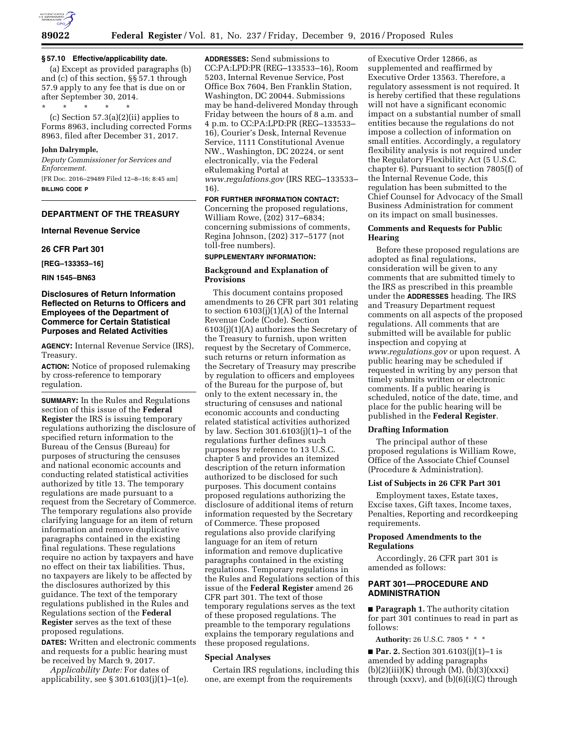

## **§ 57.10 Effective/applicability date.**

(a) Except as provided paragraphs (b) and (c) of this section, §§ 57.1 through 57.9 apply to any fee that is due on or after September 30, 2014.

\* \* \* \* \* (c) Section 57.3(a)(2)(ii) applies to Forms 8963, including corrected Forms 8963, filed after December 31, 2017.

### **John Dalrymple,**

*Deputy Commissioner for Services and Enforcement.*  [FR Doc. 2016–29489 Filed 12–8–16; 8:45 am]

**BILLING CODE P** 

# **DEPARTMENT OF THE TREASURY**

**Internal Revenue Service** 

## **26 CFR Part 301**

**[REG–133353–16]** 

**RIN 1545–BN63** 

## **Disclosures of Return Information Reflected on Returns to Officers and Employees of the Department of Commerce for Certain Statistical Purposes and Related Activities**

**AGENCY:** Internal Revenue Service (IRS), Treasury.

**ACTION:** Notice of proposed rulemaking by cross-reference to temporary regulation.

**SUMMARY:** In the Rules and Regulations section of this issue of the **Federal Register** the IRS is issuing temporary regulations authorizing the disclosure of specified return information to the Bureau of the Census (Bureau) for purposes of structuring the censuses and national economic accounts and conducting related statistical activities authorized by title 13. The temporary regulations are made pursuant to a request from the Secretary of Commerce. The temporary regulations also provide clarifying language for an item of return information and remove duplicative paragraphs contained in the existing final regulations. These regulations require no action by taxpayers and have no effect on their tax liabilities. Thus, no taxpayers are likely to be affected by the disclosures authorized by this guidance. The text of the temporary regulations published in the Rules and Regulations section of the **Federal Register** serves as the text of these proposed regulations.

**DATES:** Written and electronic comments and requests for a public hearing must be received by March 9, 2017.

*Applicability Date:* For dates of applicability, see § 301.6103(j)(1)–1(e). **ADDRESSES:** Send submissions to CC:PA:LPD:PR (REG–133533–16), Room 5203, Internal Revenue Service, Post Office Box 7604, Ben Franklin Station, Washington, DC 20044. Submissions may be hand-delivered Monday through Friday between the hours of 8 a.m. and 4 p.m. to CC:PA:LPD:PR (REG–133533– 16), Courier's Desk, Internal Revenue Service, 1111 Constitutional Avenue NW., Washington, DC 20224, or sent electronically, via the Federal eRulemaking Portal at *[www.regulations.gov](http://www.regulations.gov)* (IRS REG–133533– 16).

**FOR FURTHER INFORMATION CONTACT:**  Concerning the proposed regulations, William Rowe, (202) 317–6834; concerning submissions of comments, Regina Johnson, (202) 317–5177 (not toll-free numbers).

#### **SUPPLEMENTARY INFORMATION:**

## **Background and Explanation of Provisions**

This document contains proposed amendments to 26 CFR part 301 relating to section  $6103(j)(1)(A)$  of the Internal Revenue Code (Code). Section 6103(j)(1)(A) authorizes the Secretary of the Treasury to furnish, upon written request by the Secretary of Commerce, such returns or return information as the Secretary of Treasury may prescribe by regulation to officers and employees of the Bureau for the purpose of, but only to the extent necessary in, the structuring of censuses and national economic accounts and conducting related statistical activities authorized by law. Section 301.6103(j)(1)–1 of the regulations further defines such purposes by reference to 13 U.S.C. chapter 5 and provides an itemized description of the return information authorized to be disclosed for such purposes. This document contains proposed regulations authorizing the disclosure of additional items of return information requested by the Secretary of Commerce. These proposed regulations also provide clarifying language for an item of return information and remove duplicative paragraphs contained in the existing regulations. Temporary regulations in the Rules and Regulations section of this issue of the **Federal Register** amend 26 CFR part 301. The text of those temporary regulations serves as the text of these proposed regulations. The preamble to the temporary regulations explains the temporary regulations and these proposed regulations.

#### **Special Analyses**

Certain IRS regulations, including this one, are exempt from the requirements

of Executive Order 12866, as supplemented and reaffirmed by Executive Order 13563. Therefore, a regulatory assessment is not required. It is hereby certified that these regulations will not have a significant economic impact on a substantial number of small entities because the regulations do not impose a collection of information on small entities. Accordingly, a regulatory flexibility analysis is not required under the Regulatory Flexibility Act (5 U.S.C. chapter 6). Pursuant to section 7805(f) of the Internal Revenue Code, this regulation has been submitted to the Chief Counsel for Advocacy of the Small Business Administration for comment on its impact on small businesses.

## **Comments and Requests for Public Hearing**

Before these proposed regulations are adopted as final regulations, consideration will be given to any comments that are submitted timely to the IRS as prescribed in this preamble under the **ADDRESSES** heading. The IRS and Treasury Department request comments on all aspects of the proposed regulations. All comments that are submitted will be available for public inspection and copying at *[www.regulations.gov](http://www.regulations.gov)* or upon request. A public hearing may be scheduled if requested in writing by any person that timely submits written or electronic comments. If a public hearing is scheduled, notice of the date, time, and place for the public hearing will be published in the **Federal Register**.

#### **Drafting Information**

The principal author of these proposed regulations is William Rowe, Office of the Associate Chief Counsel (Procedure & Administration).

### **List of Subjects in 26 CFR Part 301**

Employment taxes, Estate taxes, Excise taxes, Gift taxes, Income taxes, Penalties, Reporting and recordkeeping requirements.

## **Proposed Amendments to the Regulations**

Accordingly, 26 CFR part 301 is amended as follows:

## **PART 301—PROCEDURE AND ADMINISTRATION**

■ **Paragraph 1.** The authority citation for part 301 continues to read in part as follows:

**Authority:** 26 U.S.C. 7805 \* \* \*

■ **Par. 2.** Section 301.6103(j)(1)–1 is amended by adding paragraphs  $(b)(2)(iii)(K)$  through  $(M), (b)(3)(xxx)$ through (xxxv), and  $(b)(6)(i)(C)$  through